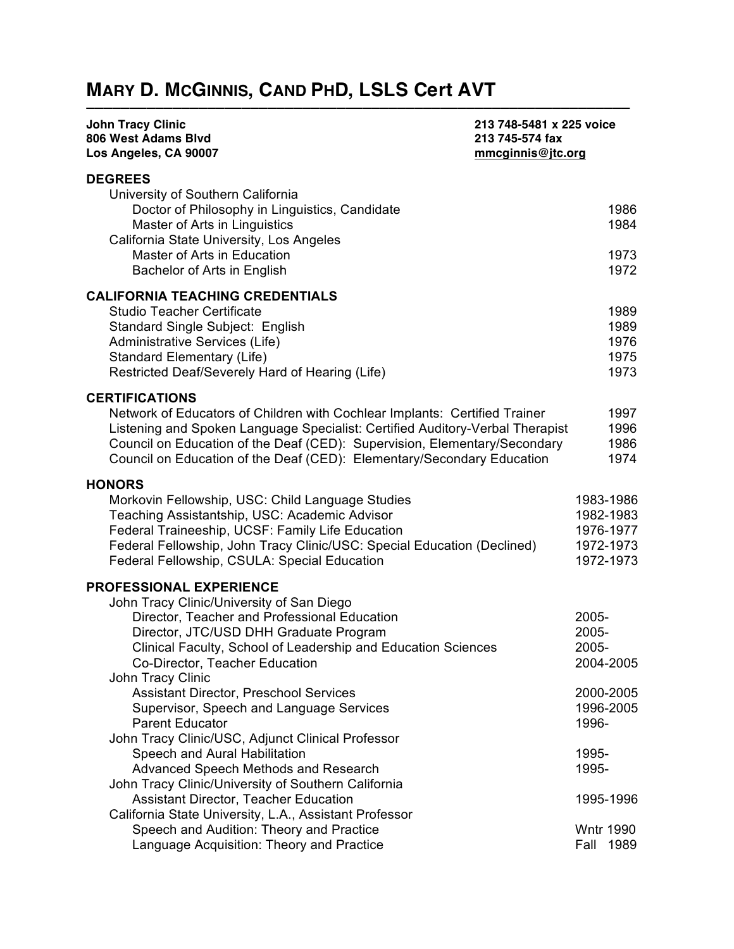# **MARY D. MCGINNIS, CAND PHD, LSLS Cert AVT**

| <b>John Tracy Clinic</b><br>213 748-5481 x 225 voice<br>806 West Adams Blvd<br>213 745-574 fax<br>Los Angeles, CA 90007<br>mmcginnis@jtc.org                                                                                                                                                                                                |                                                               |
|---------------------------------------------------------------------------------------------------------------------------------------------------------------------------------------------------------------------------------------------------------------------------------------------------------------------------------------------|---------------------------------------------------------------|
| <b>DEGREES</b><br>University of Southern California<br>Doctor of Philosophy in Linguistics, Candidate                                                                                                                                                                                                                                       | 1986                                                          |
| Master of Arts in Linguistics<br>California State University, Los Angeles<br>Master of Arts in Education<br>Bachelor of Arts in English                                                                                                                                                                                                     | 1984<br>1973<br>1972                                          |
| <b>CALIFORNIA TEACHING CREDENTIALS</b><br><b>Studio Teacher Certificate</b><br>Standard Single Subject: English<br>Administrative Services (Life)<br><b>Standard Elementary (Life)</b><br>Restricted Deaf/Severely Hard of Hearing (Life)                                                                                                   | 1989<br>1989<br>1976<br>1975<br>1973                          |
| <b>CERTIFICATIONS</b><br>Network of Educators of Children with Cochlear Implants: Certified Trainer<br>Listening and Spoken Language Specialist: Certified Auditory-Verbal Therapist<br>Council on Education of the Deaf (CED): Supervision, Elementary/Secondary<br>Council on Education of the Deaf (CED): Elementary/Secondary Education | 1997<br>1996<br>1986<br>1974                                  |
| <b>HONORS</b><br>Morkovin Fellowship, USC: Child Language Studies<br>Teaching Assistantship, USC: Academic Advisor<br>Federal Traineeship, UCSF: Family Life Education<br>Federal Fellowship, John Tracy Clinic/USC: Special Education (Declined)<br>Federal Fellowship, CSULA: Special Education                                           | 1983-1986<br>1982-1983<br>1976-1977<br>1972-1973<br>1972-1973 |
| <b>PROFESSIONAL EXPERIENCE</b><br>John Tracy Clinic/University of San Diego<br>Director, Teacher and Professional Education<br>Director, JTC/USD DHH Graduate Program<br>Clinical Faculty, School of Leadership and Education Sciences<br>Co-Director, Teacher Education                                                                    | 2005-<br>2005-<br>2005-<br>2004-2005                          |
| John Tracy Clinic<br>Assistant Director, Preschool Services<br>Supervisor, Speech and Language Services<br><b>Parent Educator</b>                                                                                                                                                                                                           | 2000-2005<br>1996-2005<br>1996-                               |
| John Tracy Clinic/USC, Adjunct Clinical Professor<br>Speech and Aural Habilitation<br>Advanced Speech Methods and Research                                                                                                                                                                                                                  | 1995-<br>1995-                                                |
| John Tracy Clinic/University of Southern California<br>Assistant Director, Teacher Education                                                                                                                                                                                                                                                | 1995-1996                                                     |
| California State University, L.A., Assistant Professor<br>Speech and Audition: Theory and Practice<br>Language Acquisition: Theory and Practice                                                                                                                                                                                             | <b>Wntr 1990</b><br>Fall<br>1989                              |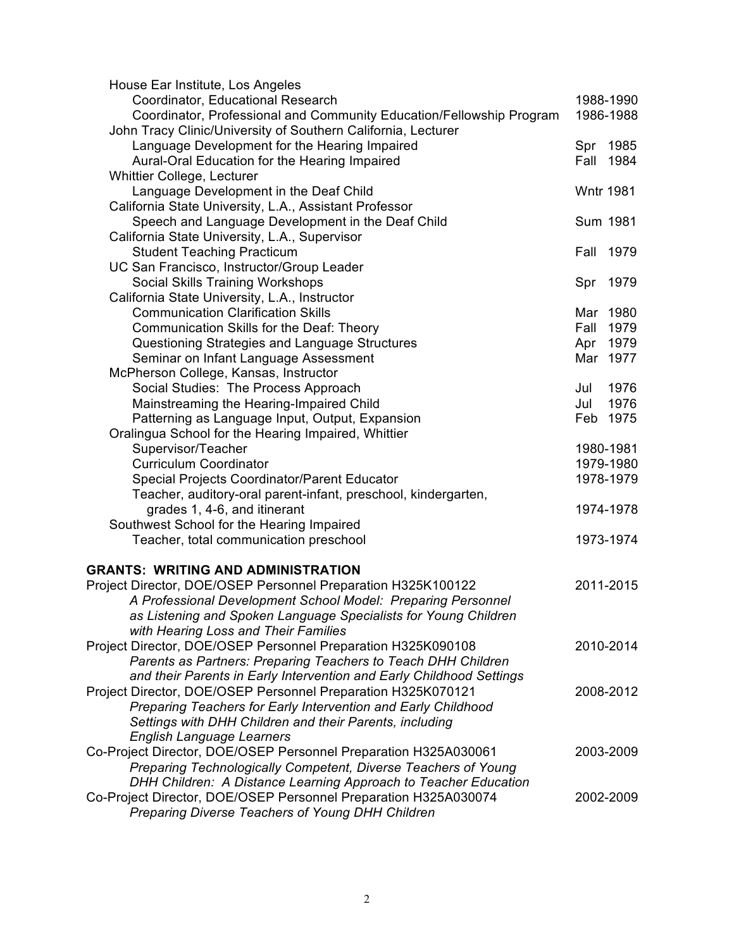| House Ear Institute, Los Angeles                                     |      |                  |
|----------------------------------------------------------------------|------|------------------|
| Coordinator, Educational Research                                    |      | 1988-1990        |
| Coordinator, Professional and Community Education/Fellowship Program |      | 1986-1988        |
| John Tracy Clinic/University of Southern California, Lecturer        |      |                  |
| Language Development for the Hearing Impaired                        |      | Spr 1985         |
| Aural-Oral Education for the Hearing Impaired                        | Fall | 1984             |
| <b>Whittier College, Lecturer</b>                                    |      |                  |
| Language Development in the Deaf Child                               |      | <b>Wntr 1981</b> |
| California State University, L.A., Assistant Professor               |      |                  |
| Speech and Language Development in the Deaf Child                    |      | Sum 1981         |
| California State University, L.A., Supervisor                        |      |                  |
| <b>Student Teaching Practicum</b>                                    | Fall | 1979             |
| UC San Francisco, Instructor/Group Leader                            |      |                  |
| Social Skills Training Workshops                                     | Spr  | 1979             |
| California State University, L.A., Instructor                        |      |                  |
| <b>Communication Clarification Skills</b>                            |      | Mar 1980         |
| Communication Skills for the Deaf: Theory                            | Fall | 1979             |
| Questioning Strategies and Language Structures                       |      | Apr 1979         |
| Seminar on Infant Language Assessment                                |      | Mar 1977         |
| McPherson College, Kansas, Instructor                                |      |                  |
| Social Studies: The Process Approach                                 | Jul  | 1976             |
| Mainstreaming the Hearing-Impaired Child                             | Jul  | 1976             |
| Patterning as Language Input, Output, Expansion                      |      | Feb 1975         |
| Oralingua School for the Hearing Impaired, Whittier                  |      |                  |
| Supervisor/Teacher                                                   |      | 1980-1981        |
| <b>Curriculum Coordinator</b>                                        |      | 1979-1980        |
| Special Projects Coordinator/Parent Educator                         |      | 1978-1979        |
| Teacher, auditory-oral parent-infant, preschool, kindergarten,       |      |                  |
| grades 1, 4-6, and itinerant                                         |      | 1974-1978        |
| Southwest School for the Hearing Impaired                            |      |                  |
| Teacher, total communication preschool                               |      | 1973-1974        |
|                                                                      |      |                  |
| <b>GRANTS: WRITING AND ADMINISTRATION</b>                            |      |                  |
| Project Director, DOE/OSEP Personnel Preparation H325K100122         |      | 2011-2015        |
| A Professional Development School Model: Preparing Personnel         |      |                  |
| as Listening and Spoken Language Specialists for Young Children      |      |                  |
| with Hearing Loss and Their Families                                 |      |                  |
| Project Director, DOE/OSEP Personnel Preparation H325K090108         |      | 2010-2014        |
| Parents as Partners: Preparing Teachers to Teach DHH Children        |      |                  |
| and their Parents in Early Intervention and Early Childhood Settings |      |                  |
| Project Director, DOE/OSEP Personnel Preparation H325K070121         |      | 2008-2012        |
| Preparing Teachers for Early Intervention and Early Childhood        |      |                  |
| Settings with DHH Children and their Parents, including              |      |                  |
| <b>English Language Learners</b>                                     |      |                  |
| Co-Project Director, DOE/OSEP Personnel Preparation H325A030061      |      | 2003-2009        |
| Preparing Technologically Competent, Diverse Teachers of Young       |      |                  |
| DHH Children: A Distance Learning Approach to Teacher Education      |      |                  |
| Co-Project Director, DOE/OSEP Personnel Preparation H325A030074      |      | 2002-2009        |
| Preparing Diverse Teachers of Young DHH Children                     |      |                  |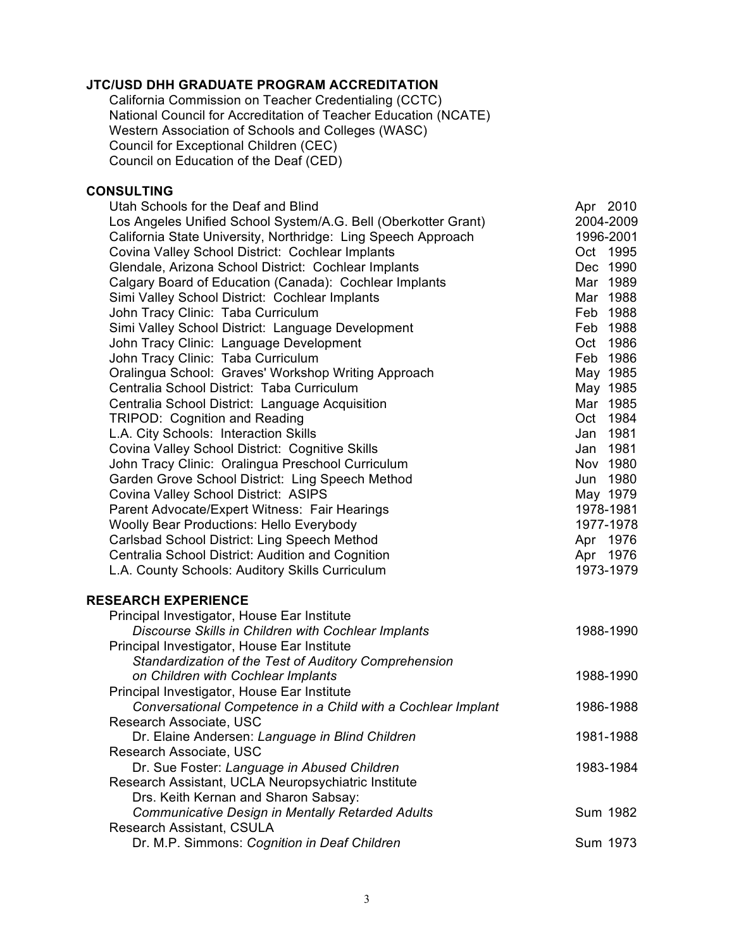## **JTC/USD DHH GRADUATE PROGRAM ACCREDITATION**

California Commission on Teacher Credentialing (CCTC) National Council for Accreditation of Teacher Education (NCATE) Western Association of Schools and Colleges (WASC) Council for Exceptional Children (CEC) Council on Education of the Deaf (CED)

## **CONSULTING**

| Utah Schools for the Deaf and Blind                            | Apr 2010  |
|----------------------------------------------------------------|-----------|
| Los Angeles Unified School System/A.G. Bell (Oberkotter Grant) | 2004-2009 |
| California State University, Northridge: Ling Speech Approach  | 1996-2001 |
| Covina Valley School District: Cochlear Implants               | Oct 1995  |
| Glendale, Arizona School District: Cochlear Implants           | Dec 1990  |
| Calgary Board of Education (Canada): Cochlear Implants         | Mar 1989  |
| Simi Valley School District: Cochlear Implants                 | Mar 1988  |
| John Tracy Clinic: Taba Curriculum                             | Feb 1988  |
| Simi Valley School District: Language Development              | Feb 1988  |
| John Tracy Clinic: Language Development                        | Oct 1986  |
| John Tracy Clinic: Taba Curriculum                             | Feb 1986  |
| Oralingua School: Graves' Workshop Writing Approach            | May 1985  |
| Centralia School District: Taba Curriculum                     | May 1985  |
| Centralia School District: Language Acquisition                | Mar 1985  |
| <b>TRIPOD: Cognition and Reading</b>                           | Oct 1984  |
| L.A. City Schools: Interaction Skills                          | Jan 1981  |
| Covina Valley School District: Cognitive Skills                | Jan 1981  |
| John Tracy Clinic: Oralingua Preschool Curriculum              | Nov 1980  |
| Garden Grove School District: Ling Speech Method               | Jun 1980  |
| Covina Valley School District: ASIPS                           | May 1979  |
| Parent Advocate/Expert Witness: Fair Hearings                  | 1978-1981 |
| <b>Woolly Bear Productions: Hello Everybody</b>                | 1977-1978 |
| Carlsbad School District: Ling Speech Method                   | Apr 1976  |
| Centralia School District: Audition and Cognition              | Apr 1976  |
| L.A. County Schools: Auditory Skills Curriculum                | 1973-1979 |
| <b>RESEARCH EXPERIENCE</b>                                     |           |
| Principal Investigator, House Ear Institute                    |           |
| Discourse Skills in Children with Cochlear Implants            | 1988-1990 |
| Principal Investigator, House Ear Institute                    |           |
| Standardization of the Test of Auditory Comprehension          |           |
| on Children with Cochlear Implants                             | 1988-1990 |
| Principal Investigator, House Ear Institute                    |           |
| Conversational Competence in a Child with a Cochlear Implant   | 1986-1988 |
| Research Associate, USC                                        |           |
| Dr. Elaine Andersen: Language in Blind Children                | 1981-1988 |
| Research Associate, USC                                        |           |
| Dr. Sue Foster: Language in Abused Children                    | 1983-1984 |
| Research Assistant, UCLA Neuropsychiatric Institute            |           |
| Drs. Keith Kernan and Sharon Sabsay:                           |           |
| <b>Communicative Design in Mentally Retarded Adults</b>        | Sum 1982  |
| Research Assistant, CSULA                                      |           |
| Dr. M.P. Simmons: Cognition in Deaf Children                   | Sum 1973  |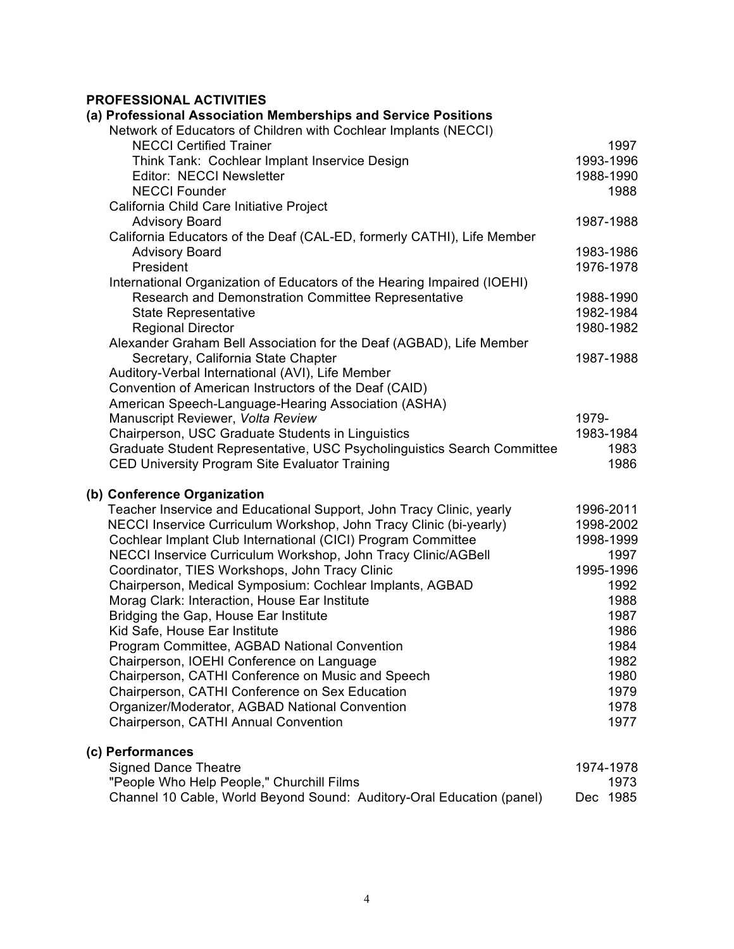## **PROFESSIONAL ACTIVITIES**

| (a) Professional Association Memberships and Service Positions                                                                                                                                                                                                                                                                                                                                                                                                                                                                                                                                                                                                                                                                                                                                                                                    |                                                                                                                                          |
|---------------------------------------------------------------------------------------------------------------------------------------------------------------------------------------------------------------------------------------------------------------------------------------------------------------------------------------------------------------------------------------------------------------------------------------------------------------------------------------------------------------------------------------------------------------------------------------------------------------------------------------------------------------------------------------------------------------------------------------------------------------------------------------------------------------------------------------------------|------------------------------------------------------------------------------------------------------------------------------------------|
| Network of Educators of Children with Cochlear Implants (NECCI)                                                                                                                                                                                                                                                                                                                                                                                                                                                                                                                                                                                                                                                                                                                                                                                   |                                                                                                                                          |
| <b>NECCI Certified Trainer</b>                                                                                                                                                                                                                                                                                                                                                                                                                                                                                                                                                                                                                                                                                                                                                                                                                    | 1997                                                                                                                                     |
| Think Tank: Cochlear Implant Inservice Design                                                                                                                                                                                                                                                                                                                                                                                                                                                                                                                                                                                                                                                                                                                                                                                                     | 1993-1996                                                                                                                                |
| Editor: NECCI Newsletter                                                                                                                                                                                                                                                                                                                                                                                                                                                                                                                                                                                                                                                                                                                                                                                                                          | 1988-1990                                                                                                                                |
| <b>NECCI Founder</b>                                                                                                                                                                                                                                                                                                                                                                                                                                                                                                                                                                                                                                                                                                                                                                                                                              | 1988                                                                                                                                     |
| California Child Care Initiative Project                                                                                                                                                                                                                                                                                                                                                                                                                                                                                                                                                                                                                                                                                                                                                                                                          |                                                                                                                                          |
| <b>Advisory Board</b>                                                                                                                                                                                                                                                                                                                                                                                                                                                                                                                                                                                                                                                                                                                                                                                                                             | 1987-1988                                                                                                                                |
| California Educators of the Deaf (CAL-ED, formerly CATHI), Life Member                                                                                                                                                                                                                                                                                                                                                                                                                                                                                                                                                                                                                                                                                                                                                                            |                                                                                                                                          |
| <b>Advisory Board</b>                                                                                                                                                                                                                                                                                                                                                                                                                                                                                                                                                                                                                                                                                                                                                                                                                             | 1983-1986                                                                                                                                |
| President                                                                                                                                                                                                                                                                                                                                                                                                                                                                                                                                                                                                                                                                                                                                                                                                                                         | 1976-1978                                                                                                                                |
| International Organization of Educators of the Hearing Impaired (IOEHI)                                                                                                                                                                                                                                                                                                                                                                                                                                                                                                                                                                                                                                                                                                                                                                           |                                                                                                                                          |
| Research and Demonstration Committee Representative                                                                                                                                                                                                                                                                                                                                                                                                                                                                                                                                                                                                                                                                                                                                                                                               | 1988-1990                                                                                                                                |
| <b>State Representative</b>                                                                                                                                                                                                                                                                                                                                                                                                                                                                                                                                                                                                                                                                                                                                                                                                                       | 1982-1984                                                                                                                                |
| <b>Regional Director</b>                                                                                                                                                                                                                                                                                                                                                                                                                                                                                                                                                                                                                                                                                                                                                                                                                          | 1980-1982                                                                                                                                |
| Alexander Graham Bell Association for the Deaf (AGBAD), Life Member                                                                                                                                                                                                                                                                                                                                                                                                                                                                                                                                                                                                                                                                                                                                                                               |                                                                                                                                          |
| Secretary, California State Chapter                                                                                                                                                                                                                                                                                                                                                                                                                                                                                                                                                                                                                                                                                                                                                                                                               | 1987-1988                                                                                                                                |
| Auditory-Verbal International (AVI), Life Member                                                                                                                                                                                                                                                                                                                                                                                                                                                                                                                                                                                                                                                                                                                                                                                                  |                                                                                                                                          |
| Convention of American Instructors of the Deaf (CAID)                                                                                                                                                                                                                                                                                                                                                                                                                                                                                                                                                                                                                                                                                                                                                                                             |                                                                                                                                          |
| American Speech-Language-Hearing Association (ASHA)                                                                                                                                                                                                                                                                                                                                                                                                                                                                                                                                                                                                                                                                                                                                                                                               |                                                                                                                                          |
| Manuscript Reviewer, Volta Review                                                                                                                                                                                                                                                                                                                                                                                                                                                                                                                                                                                                                                                                                                                                                                                                                 | 1979-                                                                                                                                    |
| Chairperson, USC Graduate Students in Linguistics                                                                                                                                                                                                                                                                                                                                                                                                                                                                                                                                                                                                                                                                                                                                                                                                 | 1983-1984                                                                                                                                |
| Graduate Student Representative, USC Psycholinguistics Search Committee                                                                                                                                                                                                                                                                                                                                                                                                                                                                                                                                                                                                                                                                                                                                                                           | 1983                                                                                                                                     |
| CED University Program Site Evaluator Training                                                                                                                                                                                                                                                                                                                                                                                                                                                                                                                                                                                                                                                                                                                                                                                                    | 1986                                                                                                                                     |
| (b) Conference Organization<br>Teacher Inservice and Educational Support, John Tracy Clinic, yearly<br>NECCI Inservice Curriculum Workshop, John Tracy Clinic (bi-yearly)<br>Cochlear Implant Club International (CICI) Program Committee<br>NECCI Inservice Curriculum Workshop, John Tracy Clinic/AGBell<br>Coordinator, TIES Workshops, John Tracy Clinic<br>Chairperson, Medical Symposium: Cochlear Implants, AGBAD<br>Morag Clark: Interaction, House Ear Institute<br>Bridging the Gap, House Ear Institute<br>Kid Safe, House Ear Institute<br>Program Committee, AGBAD National Convention<br>Chairperson, IOEHI Conference on Language<br>Chairperson, CATHI Conference on Music and Speech<br>Chairperson, CATHI Conference on Sex Education<br>Organizer/Moderator, AGBAD National Convention<br>Chairperson, CATHI Annual Convention | 1996-2011<br>1998-2002<br>1998-1999<br>1997<br>1995-1996<br>1992<br>1988<br>1987<br>1986<br>1984<br>1982<br>1980<br>1979<br>1978<br>1977 |
| (c) Performances                                                                                                                                                                                                                                                                                                                                                                                                                                                                                                                                                                                                                                                                                                                                                                                                                                  |                                                                                                                                          |
| <b>Signed Dance Theatre</b>                                                                                                                                                                                                                                                                                                                                                                                                                                                                                                                                                                                                                                                                                                                                                                                                                       | 1974-1978                                                                                                                                |
| "People Who Help People," Churchill Films                                                                                                                                                                                                                                                                                                                                                                                                                                                                                                                                                                                                                                                                                                                                                                                                         | 1973                                                                                                                                     |
| Channel 10 Cable, World Beyond Sound: Auditory-Oral Education (panel)                                                                                                                                                                                                                                                                                                                                                                                                                                                                                                                                                                                                                                                                                                                                                                             | Dec 1985                                                                                                                                 |
|                                                                                                                                                                                                                                                                                                                                                                                                                                                                                                                                                                                                                                                                                                                                                                                                                                                   |                                                                                                                                          |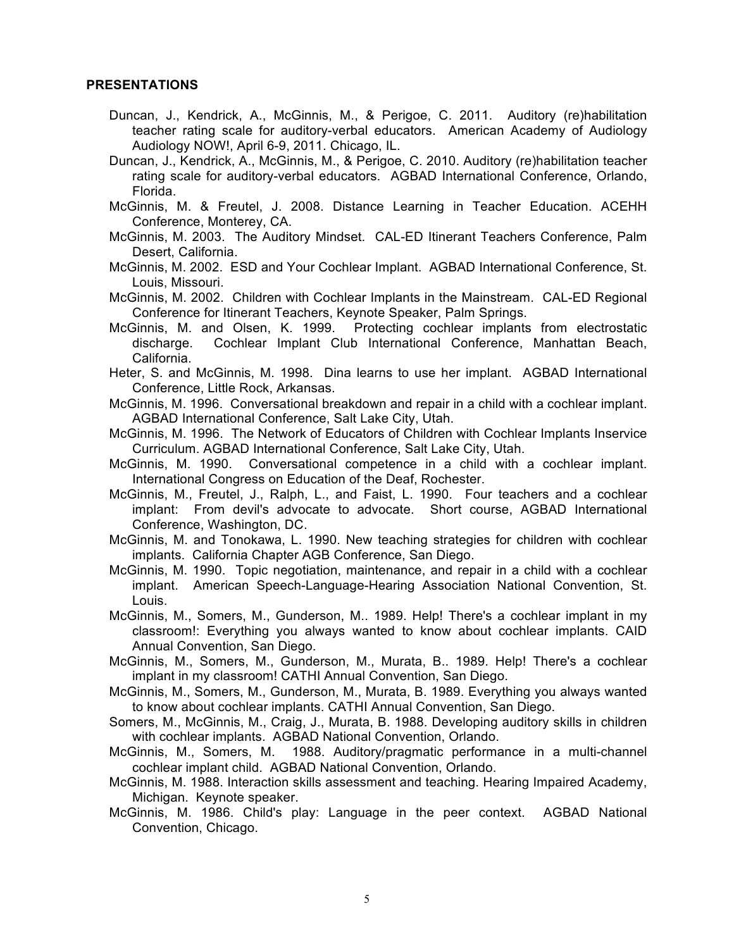## **PRESENTATIONS**

- Duncan, J., Kendrick, A., McGinnis, M., & Perigoe, C. 2011. Auditory (re)habilitation teacher rating scale for auditory-verbal educators. American Academy of Audiology Audiology NOW!, April 6-9, 2011. Chicago, IL.
- Duncan, J., Kendrick, A., McGinnis, M., & Perigoe, C. 2010. Auditory (re)habilitation teacher rating scale for auditory-verbal educators. AGBAD International Conference, Orlando, Florida.
- McGinnis, M. & Freutel, J. 2008. Distance Learning in Teacher Education. ACEHH Conference, Monterey, CA.
- McGinnis, M. 2003. The Auditory Mindset. CAL-ED Itinerant Teachers Conference, Palm Desert, California.
- McGinnis, M. 2002. ESD and Your Cochlear Implant. AGBAD International Conference, St. Louis, Missouri.
- McGinnis, M. 2002. Children with Cochlear Implants in the Mainstream. CAL-ED Regional Conference for Itinerant Teachers, Keynote Speaker, Palm Springs.
- McGinnis, M. and Olsen, K. 1999. Protecting cochlear implants from electrostatic discharge. Cochlear Implant Club International Conference, Manhattan Beach, California.
- Heter, S. and McGinnis, M. 1998. Dina learns to use her implant. AGBAD International Conference, Little Rock, Arkansas.
- McGinnis, M. 1996. Conversational breakdown and repair in a child with a cochlear implant. AGBAD International Conference, Salt Lake City, Utah.
- McGinnis, M. 1996. The Network of Educators of Children with Cochlear Implants Inservice Curriculum. AGBAD International Conference, Salt Lake City, Utah.
- McGinnis, M. 1990. Conversational competence in a child with a cochlear implant. International Congress on Education of the Deaf, Rochester.
- McGinnis, M., Freutel, J., Ralph, L., and Faist, L. 1990. Four teachers and a cochlear implant: From devil's advocate to advocate. Short course, AGBAD International Conference, Washington, DC.
- McGinnis, M. and Tonokawa, L. 1990. New teaching strategies for children with cochlear implants. California Chapter AGB Conference, San Diego.
- McGinnis, M. 1990. Topic negotiation, maintenance, and repair in a child with a cochlear implant. American Speech-Language-Hearing Association National Convention, St. Louis.
- McGinnis, M., Somers, M., Gunderson, M.. 1989. Help! There's a cochlear implant in my classroom!: Everything you always wanted to know about cochlear implants. CAID Annual Convention, San Diego.
- McGinnis, M., Somers, M., Gunderson, M., Murata, B.. 1989. Help! There's a cochlear implant in my classroom! CATHI Annual Convention, San Diego.
- McGinnis, M., Somers, M., Gunderson, M., Murata, B. 1989. Everything you always wanted to know about cochlear implants. CATHI Annual Convention, San Diego.
- Somers, M., McGinnis, M., Craig, J., Murata, B. 1988. Developing auditory skills in children with cochlear implants. AGBAD National Convention, Orlando.
- McGinnis, M., Somers, M. 1988. Auditory/pragmatic performance in a multi-channel cochlear implant child. AGBAD National Convention, Orlando.
- McGinnis, M. 1988. Interaction skills assessment and teaching. Hearing Impaired Academy, Michigan. Keynote speaker.
- McGinnis, M. 1986. Child's play: Language in the peer context. AGBAD National Convention, Chicago.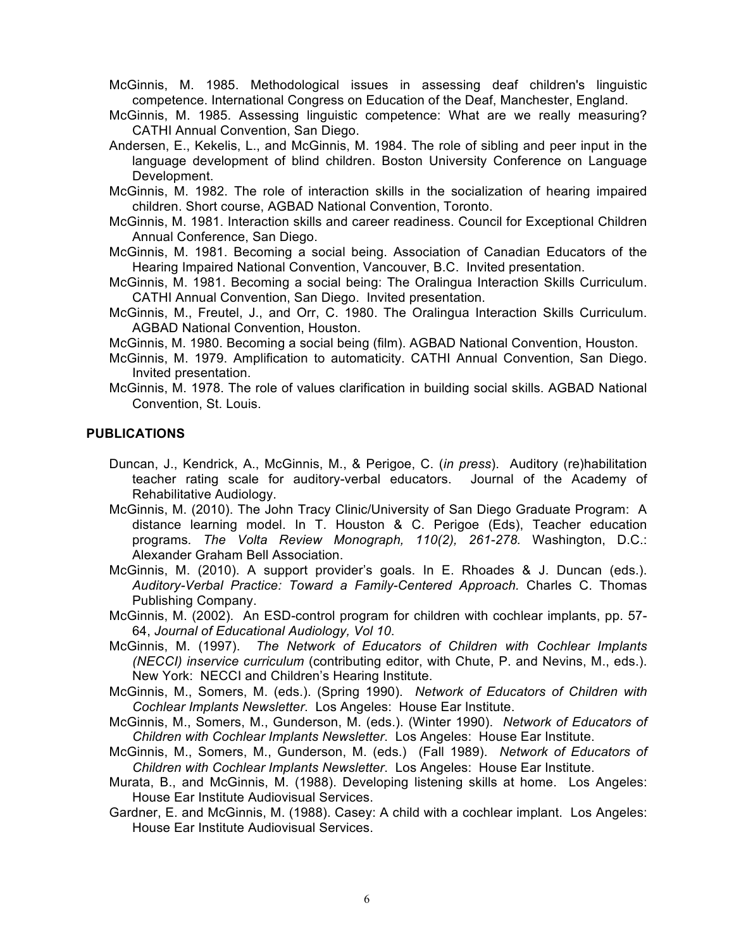McGinnis, M. 1985. Methodological issues in assessing deaf children's linguistic competence. International Congress on Education of the Deaf, Manchester, England.

- McGinnis, M. 1985. Assessing linguistic competence: What are we really measuring? CATHI Annual Convention, San Diego.
- Andersen, E., Kekelis, L., and McGinnis, M. 1984. The role of sibling and peer input in the language development of blind children. Boston University Conference on Language Development.

McGinnis, M. 1982. The role of interaction skills in the socialization of hearing impaired children. Short course, AGBAD National Convention, Toronto.

- McGinnis, M. 1981. Interaction skills and career readiness. Council for Exceptional Children Annual Conference, San Diego.
- McGinnis, M. 1981. Becoming a social being. Association of Canadian Educators of the Hearing Impaired National Convention, Vancouver, B.C. Invited presentation.
- McGinnis, M. 1981. Becoming a social being: The Oralingua Interaction Skills Curriculum. CATHI Annual Convention, San Diego. Invited presentation.
- McGinnis, M., Freutel, J., and Orr, C. 1980. The Oralingua Interaction Skills Curriculum. AGBAD National Convention, Houston.

McGinnis, M. 1980. Becoming a social being (film). AGBAD National Convention, Houston.

- McGinnis, M. 1979. Amplification to automaticity. CATHI Annual Convention, San Diego. Invited presentation.
- McGinnis, M. 1978. The role of values clarification in building social skills. AGBAD National Convention, St. Louis.

## **PUBLICATIONS**

- Duncan, J., Kendrick, A., McGinnis, M., & Perigoe, C. (*in press*). Auditory (re)habilitation teacher rating scale for auditory-verbal educators. Journal of the Academy of Rehabilitative Audiology.
- McGinnis, M. (2010). The John Tracy Clinic/University of San Diego Graduate Program: A distance learning model. In T. Houston & C. Perigoe (Eds), Teacher education programs*. The Volta Review Monograph, 110(2), 261-278.* Washington, D.C.: Alexander Graham Bell Association.
- McGinnis, M. (2010). A support provider's goals. In E. Rhoades & J. Duncan (eds.). *Auditory-Verbal Practice: Toward a Family-Centered Approach.* Charles C. Thomas Publishing Company.
- McGinnis, M. (2002). An ESD-control program for children with cochlear implants, pp. 57- 64, *Journal of Educational Audiology, Vol 10*.
- McGinnis, M. (1997). *The Network of Educators of Children with Cochlear Implants (NECCI) inservice curriculum* (contributing editor, with Chute, P. and Nevins, M., eds.). New York: NECCI and Children's Hearing Institute.
- McGinnis, M., Somers, M. (eds.). (Spring 1990). *Network of Educators of Children with Cochlear Implants Newsletter*. Los Angeles: House Ear Institute.
- McGinnis, M., Somers, M., Gunderson, M. (eds.). (Winter 1990). *Network of Educators of Children with Cochlear Implants Newsletter*. Los Angeles: House Ear Institute.
- McGinnis, M., Somers, M., Gunderson, M. (eds.) (Fall 1989). *Network of Educators of Children with Cochlear Implants Newsletter*. Los Angeles: House Ear Institute.
- Murata, B., and McGinnis, M. (1988). Developing listening skills at home. Los Angeles: House Ear Institute Audiovisual Services.
- Gardner, E. and McGinnis, M. (1988). Casey: A child with a cochlear implant. Los Angeles: House Ear Institute Audiovisual Services.